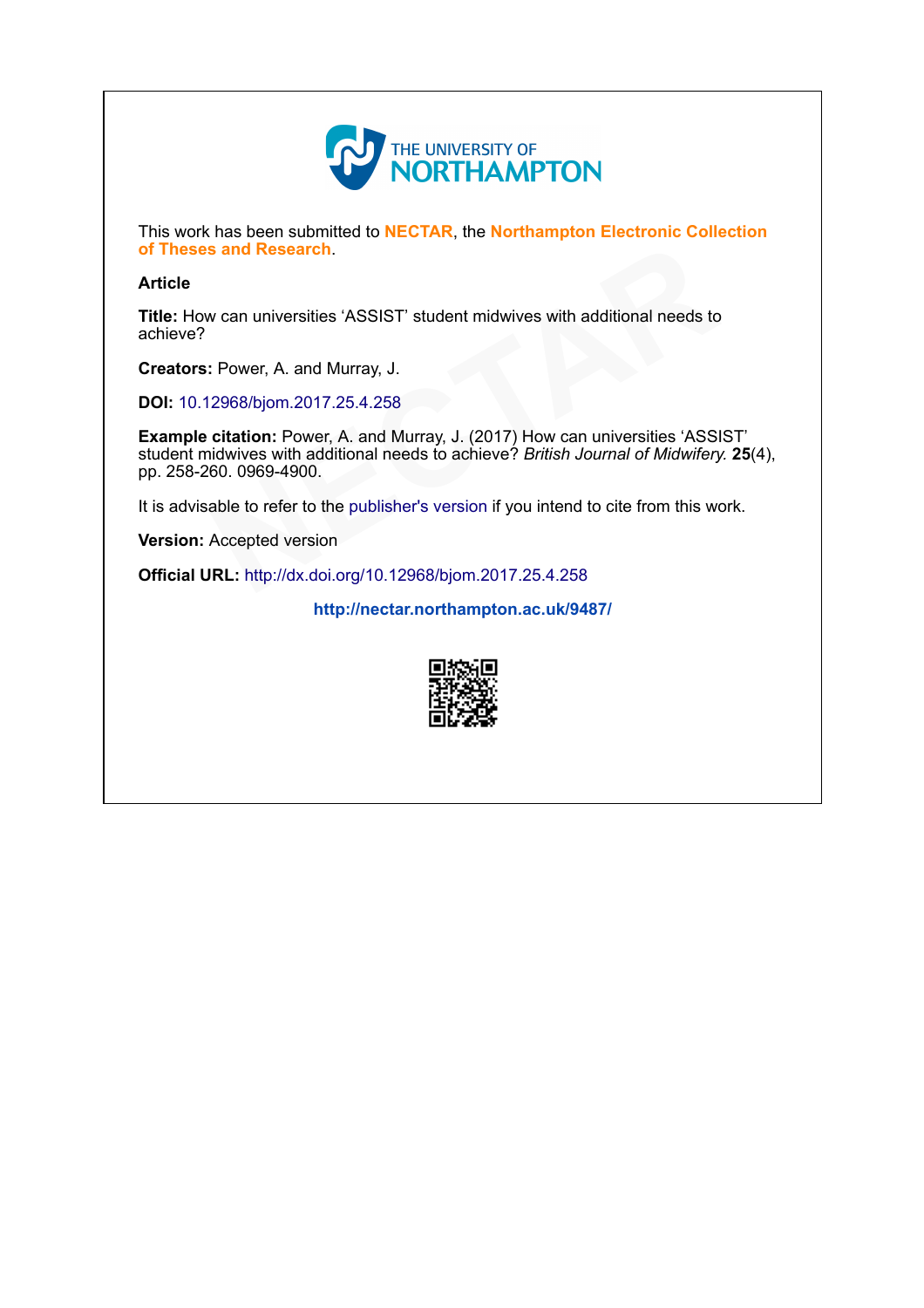

This work has been submitted to NECTAR, the Northampton Electronic Collection of Theses and Research.

#### Article

Title: How can universities 'ASSIST' student midwives with additional needs to achieve?

Creators: Power, A. and Murray, J.

DOI: [10.12968/bjom.2017.25.4.258](http://dx.doi.org/10.12968/bjom.2017.25.4.258)

Example citation: Power, A. and Murray, J. (2017) How can universities 'ASSIST' student midwives with additional needs to achieve? British Journal of Midwifery. 25(4), pp. 258-260. 0969-4900. Parch.<br>
Instities 'ASSIST' student midwives with additional needs to<br>
and Murray, J.<br>
2017.25.4.258<br>
Yower, A. and Murray, J. (2017) How can universities 'ASSI<br>
the additional needs to achieve? *British Journal of Midwifer* 

It is advisable to refer to the publisher's version if you intend to cite from this work. pp. 256-260. 0969-4900.<br>It is advisable to refer to the publisher's version if you intend t<br>**Version:** Accepted version<br>**Official URL:** <http://dx.doi.org/10.12968/bjom.2017.25.4.258>

Version: Accepted version

<http://nectar.northampton.ac.uk/9487/>

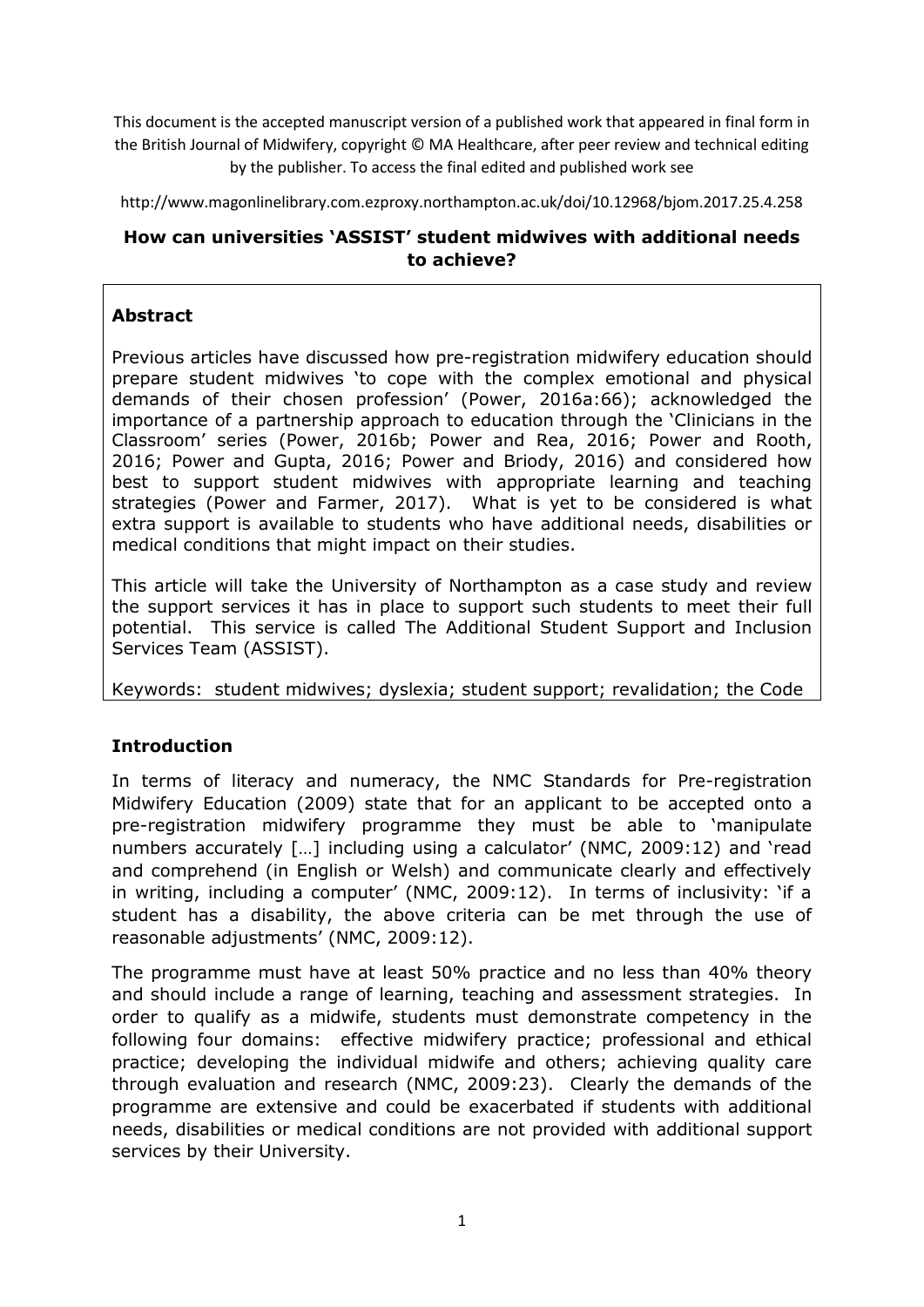This document is the accepted manuscript version of a published work that appeared in final form in the British Journal of Midwifery, copyright © MA Healthcare, after peer review and technical editing by the publisher. To access the final edited and published work see

http://www.magonlinelibrary.com.ezproxy.northampton.ac.uk/doi/10.12968/bjom.2017.25.4.258

# **How can universities 'ASSIST' student midwives with additional needs to achieve?**

# **Abstract**

Previous articles have discussed how pre-registration midwifery education should prepare student midwives 'to cope with the complex emotional and physical demands of their chosen profession' (Power, 2016a:66); acknowledged the importance of a partnership approach to education through the 'Clinicians in the Classroom' series (Power, 2016b; Power and Rea, 2016; Power and Rooth, 2016; Power and Gupta, 2016; Power and Briody, 2016) and considered how best to support student midwives with appropriate learning and teaching strategies (Power and Farmer, 2017). What is yet to be considered is what extra support is available to students who have additional needs, disabilities or medical conditions that might impact on their studies.

This article will take the University of Northampton as a case study and review the support services it has in place to support such students to meet their full potential. This service is called The Additional Student Support and Inclusion Services Team (ASSIST).

Keywords: student midwives; dyslexia; student support; revalidation; the Code

# **Introduction**

In terms of literacy and numeracy, the NMC Standards for Pre-registration Midwifery Education (2009) state that for an applicant to be accepted onto a pre-registration midwifery programme they must be able to 'manipulate numbers accurately […] including using a calculator' (NMC, 2009:12) and 'read and comprehend (in English or Welsh) and communicate clearly and effectively in writing, including a computer' (NMC, 2009:12). In terms of inclusivity: 'if a student has a disability, the above criteria can be met through the use of reasonable adjustments' (NMC, 2009:12).

The programme must have at least 50% practice and no less than 40% theory and should include a range of learning, teaching and assessment strategies. In order to qualify as a midwife, students must demonstrate competency in the following four domains: effective midwifery practice; professional and ethical practice; developing the individual midwife and others; achieving quality care through evaluation and research (NMC, 2009:23). Clearly the demands of the programme are extensive and could be exacerbated if students with additional needs, disabilities or medical conditions are not provided with additional support services by their University.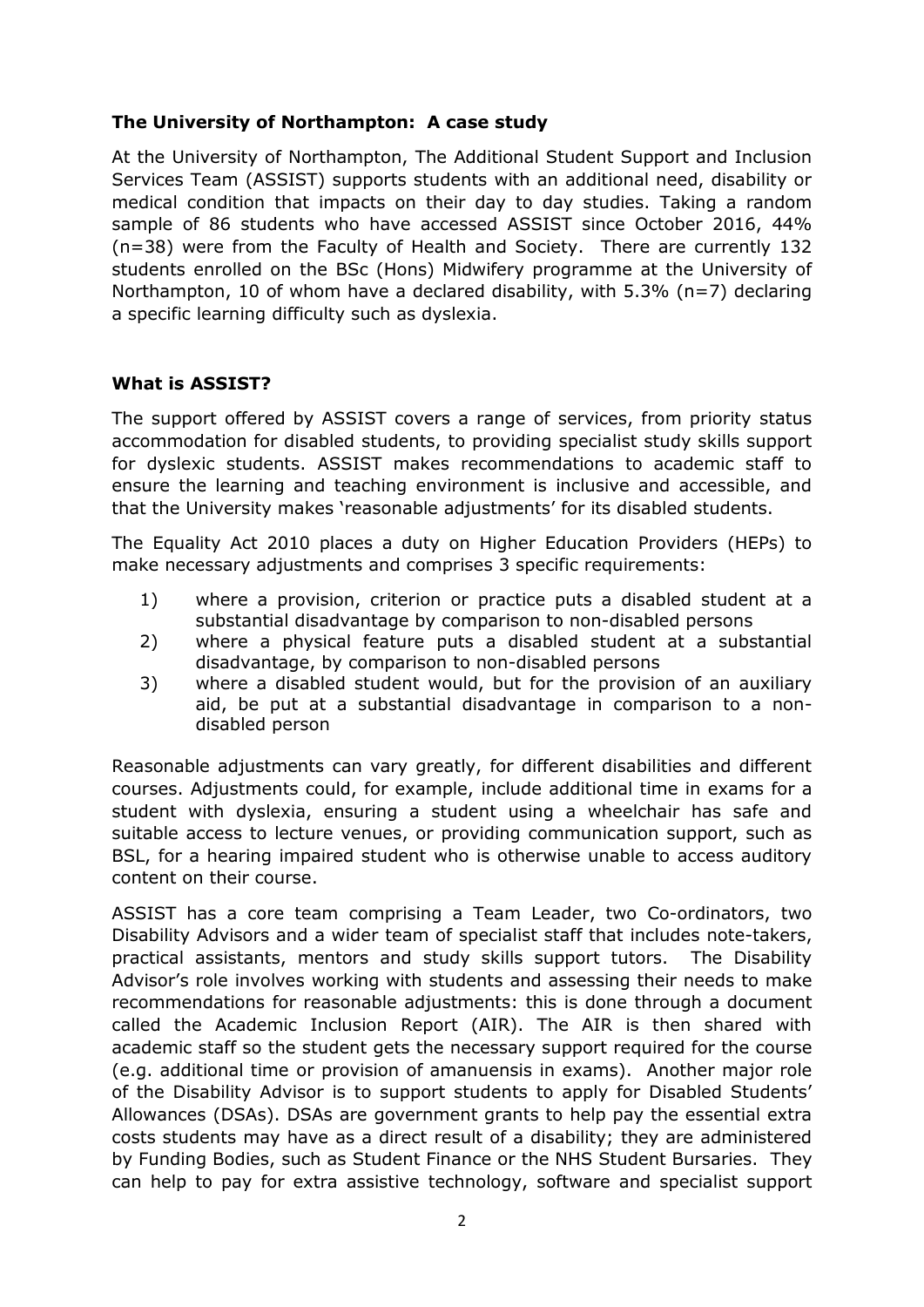### **The University of Northampton: A case study**

At the University of Northampton, The Additional Student Support and Inclusion Services Team (ASSIST) supports students with an additional need, disability or medical condition that impacts on their day to day studies. Taking a random sample of 86 students who have accessed ASSIST since October 2016, 44% (n=38) were from the Faculty of Health and Society. There are currently 132 students enrolled on the BSc (Hons) Midwifery programme at the University of Northampton, 10 of whom have a declared disability, with  $5.3\%$  (n=7) declaring a specific learning difficulty such as dyslexia.

### **What is ASSIST?**

The support offered by ASSIST covers a range of services, from priority status accommodation for disabled students, to providing specialist study skills support for dyslexic students. ASSIST makes recommendations to academic staff to ensure the learning and teaching environment is inclusive and accessible, and that the University makes 'reasonable adjustments' for its disabled students.

The Equality Act 2010 places a duty on Higher Education Providers (HEPs) to make necessary adjustments and comprises 3 specific requirements:

- 1) where a provision, criterion or practice puts a disabled student at a substantial disadvantage by comparison to non-disabled persons
- 2) where a physical feature puts a disabled student at a substantial disadvantage, by comparison to non-disabled persons
- 3) where a disabled student would, but for the provision of an auxiliary aid, be put at a substantial disadvantage in comparison to a nondisabled person

Reasonable adjustments can vary greatly, for different disabilities and different courses. Adjustments could, for example, include additional time in exams for a student with dyslexia, ensuring a student using a wheelchair has safe and suitable access to lecture venues, or providing communication support, such as BSL, for a hearing impaired student who is otherwise unable to access auditory content on their course.

ASSIST has a core team comprising a Team Leader, two Co-ordinators, two Disability Advisors and a wider team of specialist staff that includes note-takers, practical assistants, mentors and study skills support tutors. The Disability Advisor's role involves working with students and assessing their needs to make recommendations for reasonable adjustments: this is done through a document called the Academic Inclusion Report (AIR). The AIR is then shared with academic staff so the student gets the necessary support required for the course (e.g. additional time or provision of amanuensis in exams). Another major role of the Disability Advisor is to support students to apply for Disabled Students' Allowances (DSAs). DSAs are government grants to help pay the essential extra costs students may have as a direct result of a disability; they are administered by Funding Bodies, such as Student Finance or the NHS Student Bursaries. They can help to pay for extra assistive technology, software and specialist support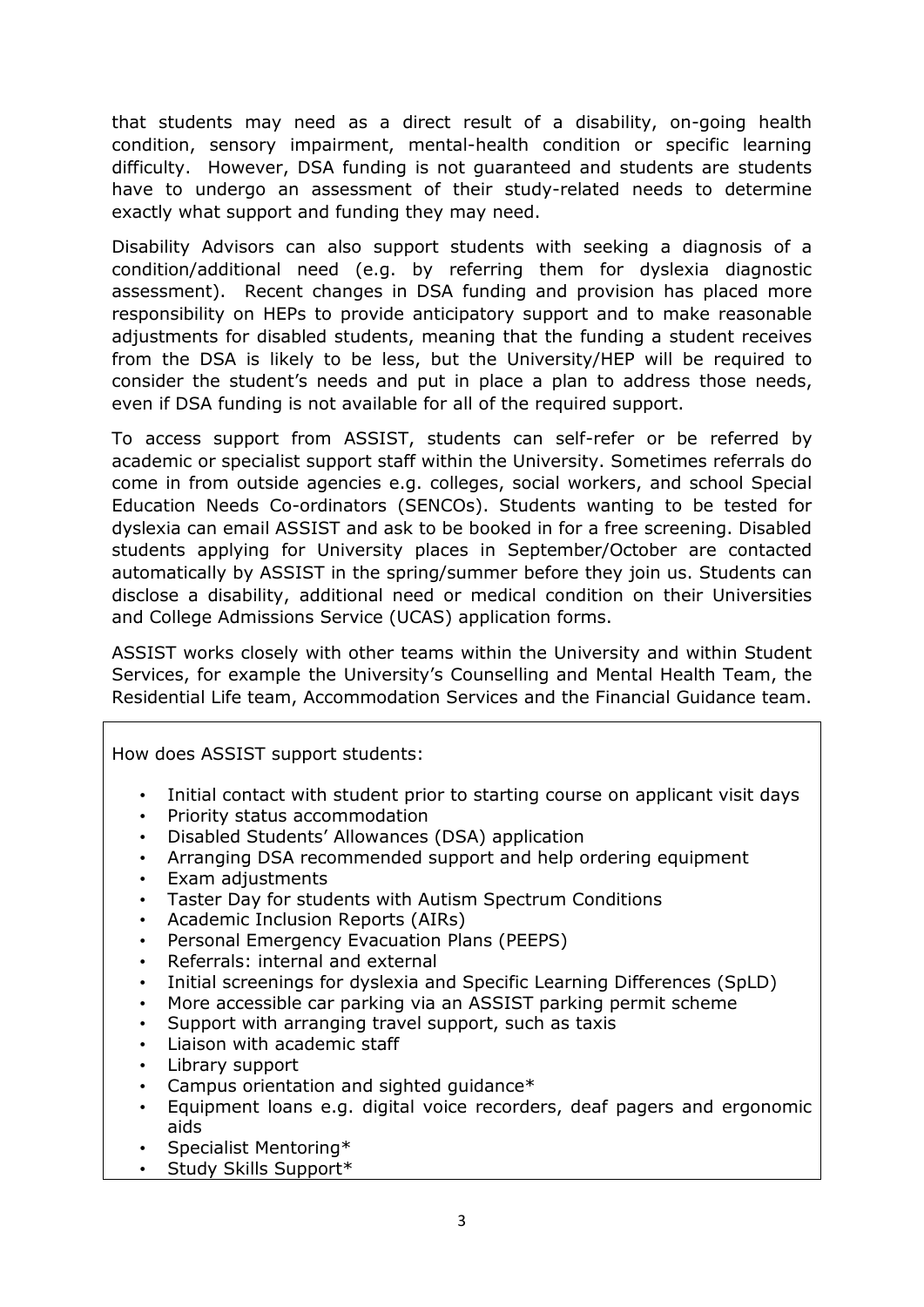that students may need as a direct result of a disability, on-going health condition, sensory impairment, mental-health condition or specific learning difficulty. However, DSA funding is not guaranteed and students are students have to undergo an assessment of their study-related needs to determine exactly what support and funding they may need.

Disability Advisors can also support students with seeking a diagnosis of a condition/additional need (e.g. by referring them for dyslexia diagnostic assessment). Recent changes in DSA funding and provision has placed more responsibility on HEPs to provide anticipatory support and to make reasonable adjustments for disabled students, meaning that the funding a student receives from the DSA is likely to be less, but the University/HEP will be required to consider the student's needs and put in place a plan to address those needs, even if DSA funding is not available for all of the required support.

To access support from ASSIST, students can self-refer or be referred by academic or specialist support staff within the University. Sometimes referrals do come in from outside agencies e.g. colleges, social workers, and school Special Education Needs Co-ordinators (SENCOs). Students wanting to be tested for dyslexia can email ASSIST and ask to be booked in for a free screening. Disabled students applying for University places in September/October are contacted automatically by ASSIST in the spring/summer before they join us. Students can disclose a disability, additional need or medical condition on their Universities and College Admissions Service (UCAS) application forms.

ASSIST works closely with other teams within the University and within Student Services, for example the University's Counselling and Mental Health Team, the Residential Life team, Accommodation Services and the Financial Guidance team.

### How does ASSIST support students:

- Initial contact with student prior to starting course on applicant visit days
- Priority status accommodation
- Disabled Students' Allowances (DSA) application
- Arranging DSA recommended support and help ordering equipment
- Exam adjustments
- Taster Day for students with Autism Spectrum Conditions
- Academic Inclusion Reports (AIRs)
- Personal Emergency Evacuation Plans (PEEPS)
- Referrals: internal and external
- Initial screenings for dyslexia and Specific Learning Differences (SpLD)
- More accessible car parking via an ASSIST parking permit scheme
- Support with arranging travel support, such as taxis
- Liaison with academic staff
- Library support
- Campus orientation and sighted guidance $*$
- Equipment loans e.g. digital voice recorders, deaf pagers and ergonomic aids
- Specialist Mentoring\*
- Study Skills Support\*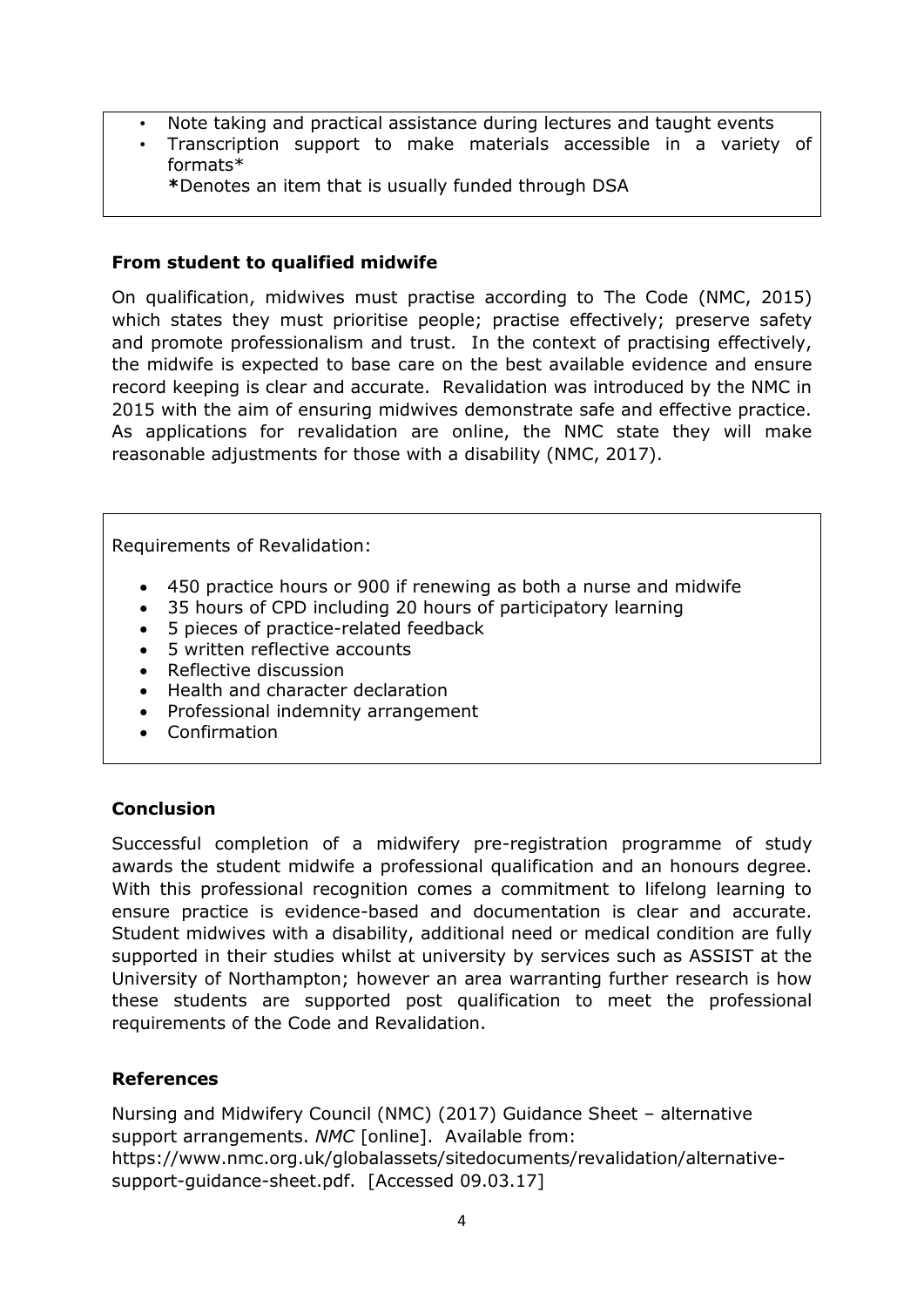- Note taking and practical assistance during lectures and taught events
- Transcription support to make materials accessible in a variety of formats\*
	- **\***Denotes an item that is usually funded through DSA

### **From student to qualified midwife**

On qualification, midwives must practise according to The Code (NMC, 2015) which states they must prioritise people; practise effectively; preserve safety and promote professionalism and trust. In the context of practising effectively, the midwife is expected to base care on the best available evidence and ensure record keeping is clear and accurate. Revalidation was introduced by the NMC in 2015 with the aim of ensuring midwives demonstrate safe and effective practice. As applications for revalidation are online, the NMC state they will make reasonable adjustments for those with a disability (NMC, 2017).

Requirements of Revalidation:

- 450 practice hours or 900 if renewing as both a nurse and midwife
- 35 hours of CPD including 20 hours of participatory learning
- 5 pieces of practice-related feedback
- 5 written reflective accounts
- Reflective discussion
- Health and character declaration
- Professional indemnity arrangement
- Confirmation

### **Conclusion**

Successful completion of a midwifery pre-registration programme of study awards the student midwife a professional qualification and an honours degree. With this professional recognition comes a commitment to lifelong learning to ensure practice is evidence-based and documentation is clear and accurate. Student midwives with a disability, additional need or medical condition are fully supported in their studies whilst at university by services such as ASSIST at the University of Northampton; however an area warranting further research is how these students are supported post qualification to meet the professional requirements of the Code and Revalidation.

### **References**

Nursing and Midwifery Council (NMC) (2017) Guidance Sheet – alternative support arrangements. *NMC* [online]. Available from: https://www.nmc.org.uk/globalassets/sitedocuments/revalidation/alternativesupport-guidance-sheet.pdf. [Accessed 09.03.17]